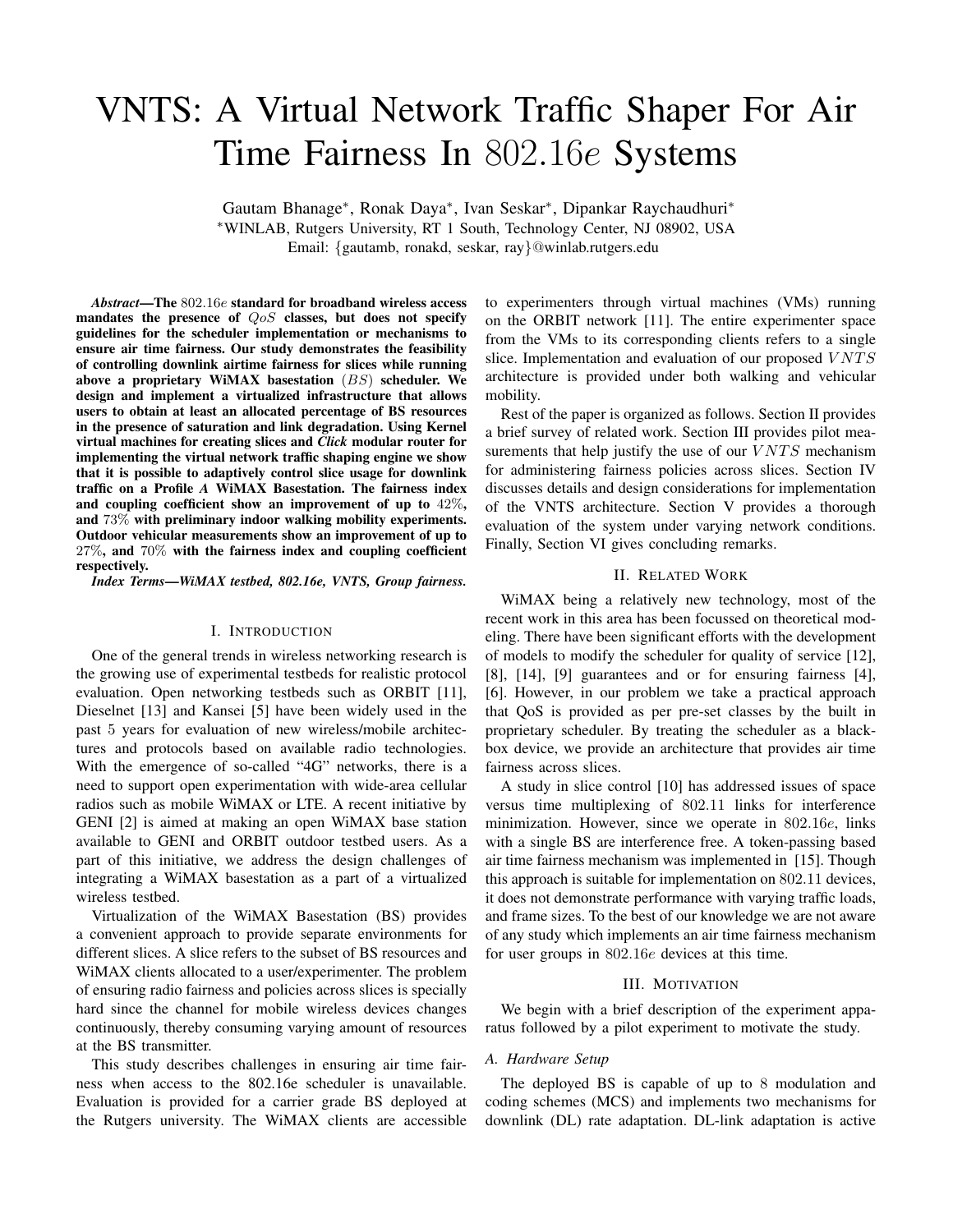# VNTS: A Virtual Network Traffic Shaper For Air Time Fairness In 802*.*16*e* Systems

Gautam Bhanage∗, Ronak Daya∗, Ivan Seskar∗, Dipankar Raychaudhuri∗ ∗WINLAB, Rutgers University, RT 1 South, Technology Center, NJ 08902, USA Email: {gautamb, ronakd, seskar, ray}@winlab.rutgers.edu

*Abstract***—The** 802*.*16*e* **standard for broadband wireless access mandates the presence of** *QoS* **classes, but does not specify guidelines for the scheduler implementation or mechanisms to ensure air time fairness. Our study demonstrates the feasibility of controlling downlink airtime fairness for slices while running above a proprietary WiMAX basestation** (*BS*) **scheduler. We design and implement a virtualized infrastructure that allows users to obtain at least an allocated percentage of BS resources in the presence of saturation and link degradation. Using Kernel virtual machines for creating slices and** *Click* **modular router for implementing the virtual network traffic shaping engine we show that it is possible to adaptively control slice usage for downlink traffic on a Profile** *A* **WiMAX Basestation. The fairness index and coupling coefficient show an improvement of up to** 42%**, and** 73% **with preliminary indoor walking mobility experiments. Outdoor vehicular measurements show an improvement of up to** 27%**, and** 70% **with the fairness index and coupling coefficient respectively.**

*Index Terms***—***WiMAX testbed, 802.16e, VNTS, Group fairness.*

#### I. INTRODUCTION

One of the general trends in wireless networking research is the growing use of experimental testbeds for realistic protocol evaluation. Open networking testbeds such as ORBIT [11], Dieselnet [13] and Kansei [5] have been widely used in the past 5 years for evaluation of new wireless/mobile architectures and protocols based on available radio technologies. With the emergence of so-called "4G" networks, there is a need to support open experimentation with wide-area cellular radios such as mobile WiMAX or LTE. A recent initiative by GENI [2] is aimed at making an open WiMAX base station available to GENI and ORBIT outdoor testbed users. As a part of this initiative, we address the design challenges of integrating a WiMAX basestation as a part of a virtualized wireless testbed.

Virtualization of the WiMAX Basestation (BS) provides a convenient approach to provide separate environments for different slices. A slice refers to the subset of BS resources and WiMAX clients allocated to a user/experimenter. The problem of ensuring radio fairness and policies across slices is specially hard since the channel for mobile wireless devices changes continuously, thereby consuming varying amount of resources at the BS transmitter.

This study describes challenges in ensuring air time fairness when access to the 802.16e scheduler is unavailable. Evaluation is provided for a carrier grade BS deployed at the Rutgers university. The WiMAX clients are accessible to experimenters through virtual machines (VMs) running on the ORBIT network [11]. The entire experimenter space from the VMs to its corresponding clients refers to a single slice. Implementation and evaluation of our proposed VNTS architecture is provided under both walking and vehicular mobility.

Rest of the paper is organized as follows. Section II provides a brief survey of related work. Section III provides pilot measurements that help justify the use of our  $VNTS$  mechanism for administering fairness policies across slices. Section IV discusses details and design considerations for implementation of the VNTS architecture. Section V provides a thorough evaluation of the system under varying network conditions. Finally, Section VI gives concluding remarks.

# II. RELATED WORK

WiMAX being a relatively new technology, most of the recent work in this area has been focussed on theoretical modeling. There have been significant efforts with the development of models to modify the scheduler for quality of service [12], [8], [14], [9] guarantees and or for ensuring fairness [4], [6]. However, in our problem we take a practical approach that QoS is provided as per pre-set classes by the built in proprietary scheduler. By treating the scheduler as a blackbox device, we provide an architecture that provides air time fairness across slices.

A study in slice control [10] has addressed issues of space versus time multiplexing of 802.11 links for interference minimization. However, since we operate in 802.16e, links with a single BS are interference free. A token-passing based air time fairness mechanism was implemented in [15]. Though this approach is suitable for implementation on 802.11 devices, it does not demonstrate performance with varying traffic loads, and frame sizes. To the best of our knowledge we are not aware of any study which implements an air time fairness mechanism for user groups in 802.16e devices at this time.

#### III. MOTIVATION

We begin with a brief description of the experiment apparatus followed by a pilot experiment to motivate the study.

# *A. Hardware Setup*

The deployed BS is capable of up to 8 modulation and coding schemes (MCS) and implements two mechanisms for downlink (DL) rate adaptation. DL-link adaptation is active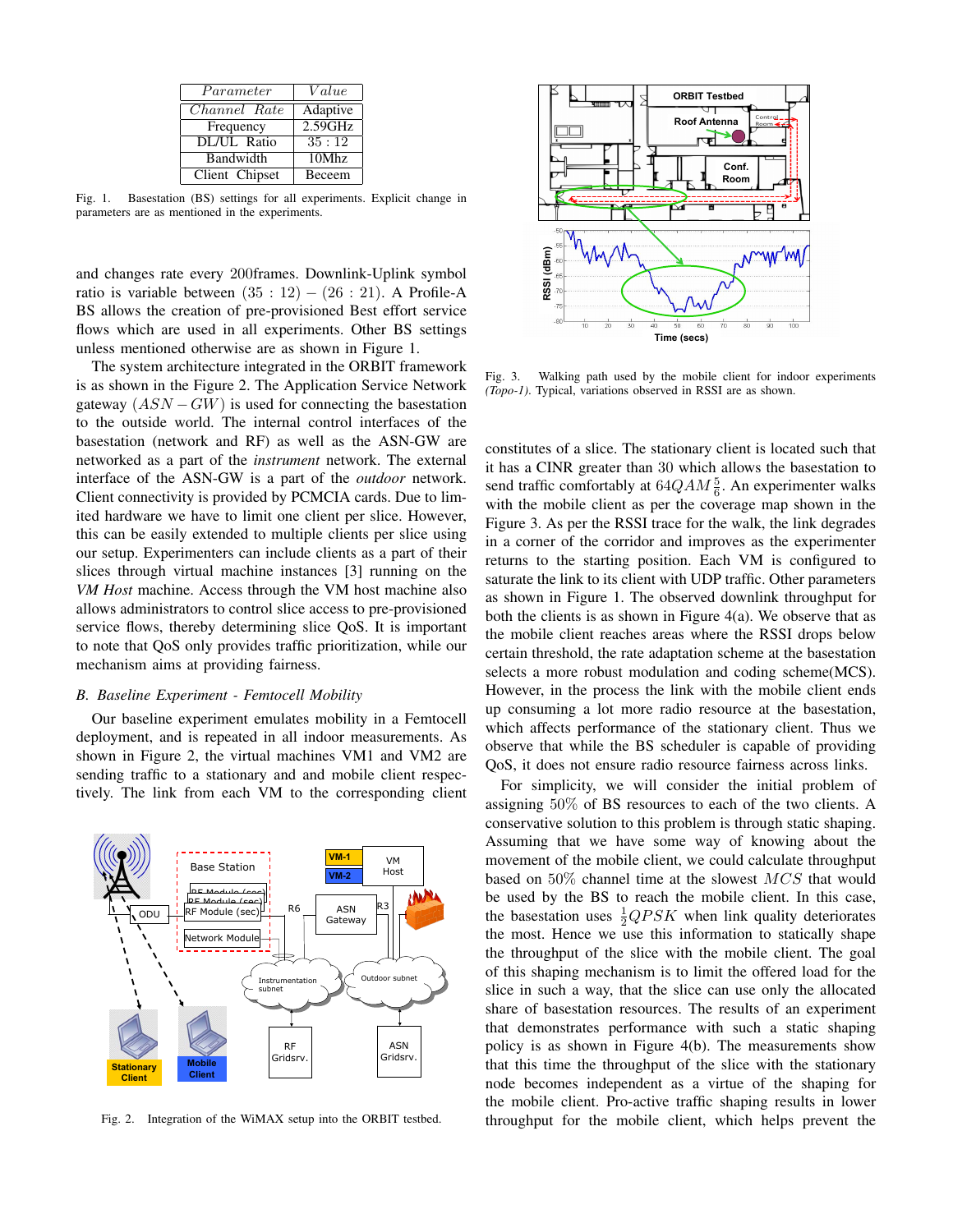| Parameter      | Value    |
|----------------|----------|
| Channel Rate   | Adaptive |
| Frequency      | 2.59GHz  |
| DL/UL Ratio    | 35:12    |
| Bandwidth      | 10Mhz    |
| Client Chipset | Beceem   |

Fig. 1. Basestation (BS) settings for all experiments. Explicit change in parameters are as mentioned in the experiments.

and changes rate every 200frames. Downlink-Uplink symbol ratio is variable between  $(35 : 12) - (26 : 21)$ . A Profile-A BS allows the creation of pre-provisioned Best effort service flows which are used in all experiments. Other BS settings unless mentioned otherwise are as shown in Figure 1.

The system architecture integrated in the ORBIT framework is as shown in the Figure 2. The Application Service Network gateway  $(ASN - GW)$  is used for connecting the basestation to the outside world. The internal control interfaces of the basestation (network and RF) as well as the ASN-GW are networked as a part of the *instrument* network. The external interface of the ASN-GW is a part of the *outdoor* network. Client connectivity is provided by PCMCIA cards. Due to limited hardware we have to limit one client per slice. However, this can be easily extended to multiple clients per slice using our setup. Experimenters can include clients as a part of their slices through virtual machine instances [3] running on the *VM Host* machine. Access through the VM host machine also allows administrators to control slice access to pre-provisioned service flows, thereby determining slice QoS. It is important to note that QoS only provides traffic prioritization, while our mechanism aims at providing fairness.

# *B. Baseline Experiment - Femtocell Mobility*

Our baseline experiment emulates mobility in a Femtocell deployment, and is repeated in all indoor measurements. As shown in Figure 2, the virtual machines VM1 and VM2 are sending traffic to a stationary and and mobile client respectively. The link from each VM to the corresponding client



Fig. 2. Integration of the WiMAX setup into the ORBIT testbed.



Fig. 3. Walking path used by the mobile client for indoor experiments *(Topo-1)*. Typical, variations observed in RSSI are as shown.

constitutes of a slice. The stationary client is located such that it has a CINR greater than 30 which allows the basestation to send traffic comfortably at  $64QAM\frac{5}{6}$ . An experimenter walks with the mobile client as per the coverage map shown in the Figure 3. As per the RSSI trace for the walk, the link degrades in a corner of the corridor and improves as the experimenter returns to the starting position. Each VM is configured to saturate the link to its client with UDP traffic. Other parameters as shown in Figure 1. The observed downlink throughput for both the clients is as shown in Figure 4(a). We observe that as the mobile client reaches areas where the RSSI drops below certain threshold, the rate adaptation scheme at the basestation selects a more robust modulation and coding scheme(MCS). However, in the process the link with the mobile client ends up consuming a lot more radio resource at the basestation, which affects performance of the stationary client. Thus we observe that while the BS scheduler is capable of providing QoS, it does not ensure radio resource fairness across links.

For simplicity, we will consider the initial problem of assigning 50% of BS resources to each of the two clients. A conservative solution to this problem is through static shaping. Assuming that we have some way of knowing about the movement of the mobile client, we could calculate throughput based on 50% channel time at the slowest MCS that would be used by the BS to reach the mobile client. In this case, the basestation uses  $\frac{1}{2}QPSK$  when link quality deteriorates the most. Hence we use this information to statically shape the throughput of the slice with the mobile client. The goal of this shaping mechanism is to limit the offered load for the slice in such a way, that the slice can use only the allocated share of basestation resources. The results of an experiment that demonstrates performance with such a static shaping policy is as shown in Figure 4(b). The measurements show that this time the throughput of the slice with the stationary node becomes independent as a virtue of the shaping for the mobile client. Pro-active traffic shaping results in lower throughput for the mobile client, which helps prevent the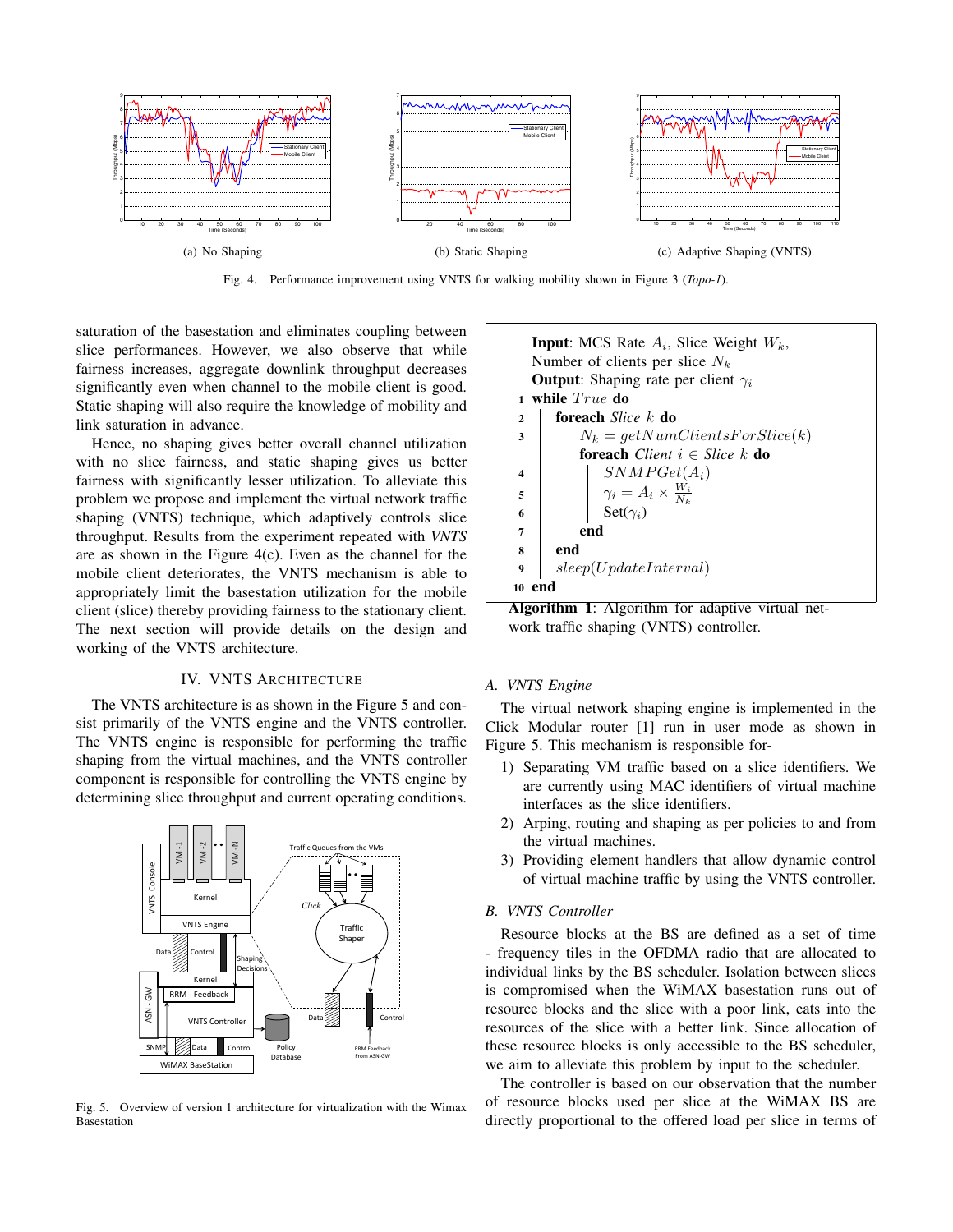

Fig. 4. Performance improvement using VNTS for walking mobility shown in Figure 3 (*Topo-1*).

saturation of the basestation and eliminates coupling between slice performances. However, we also observe that while fairness increases, aggregate downlink throughput decreases significantly even when channel to the mobile client is good. Static shaping will also require the knowledge of mobility and link saturation in advance.

Hence, no shaping gives better overall channel utilization with no slice fairness, and static shaping gives us better fairness with significantly lesser utilization. To alleviate this problem we propose and implement the virtual network traffic shaping (VNTS) technique, which adaptively controls slice throughput. Results from the experiment repeated with *VNTS* are as shown in the Figure 4(c). Even as the channel for the mobile client deteriorates, the VNTS mechanism is able to appropriately limit the basestation utilization for the mobile client (slice) thereby providing fairness to the stationary client. The next section will provide details on the design and working of the VNTS architecture.

# IV. VNTS ARCHITECTURE

The VNTS architecture is as shown in the Figure 5 and consist primarily of the VNTS engine and the VNTS controller. The VNTS engine is responsible for performing the traffic shaping from the virtual machines, and the VNTS controller component is responsible for controlling the VNTS engine by determining slice throughput and current operating conditions.



Fig. 5. Overview of version 1 architecture for virtualization with the Wimax Basestation

**Input**: MCS Rate A*i*, Slice Weight W*k*, Number of clients per slice N*<sup>k</sup>* **Output**: Shaping rate per client  $\gamma_i$ **1 while**  $True$  **do <sup>2</sup> foreach** *Slice* k **do 3**  $N_k = getNumClientsForSlice(k)$ **foreach** *Client* i ∈ *Slice* k **do**  $\left\{\begin{array}{c|c} \textbf{4} & \textbf{5} \textbf{N} \textbf{M} \textbf{P} \textbf{G} \textbf{e} \textbf{t} \textbf{(A_i)} \end{array}\right.$ **5**  $\gamma_i = A_i \times \frac{W_i}{N_k}$ **6** Set( $\gamma_i$ ) **7 end 8 end 9** sleep(UpdateInterval) **10 end**

**Algorithm 1**: Algorithm for adaptive virtual network traffic shaping (VNTS) controller.

# *A. VNTS Engine*

The virtual network shaping engine is implemented in the Click Modular router [1] run in user mode as shown in Figure 5. This mechanism is responsible for-

- 1) Separating VM traffic based on a slice identifiers. We are currently using MAC identifiers of virtual machine interfaces as the slice identifiers.
- 2) Arping, routing and shaping as per policies to and from the virtual machines.
- 3) Providing element handlers that allow dynamic control of virtual machine traffic by using the VNTS controller.

#### *B. VNTS Controller*

Resource blocks at the BS are defined as a set of time - frequency tiles in the OFDMA radio that are allocated to individual links by the BS scheduler. Isolation between slices is compromised when the WiMAX basestation runs out of resource blocks and the slice with a poor link, eats into the resources of the slice with a better link. Since allocation of these resource blocks is only accessible to the BS scheduler, we aim to alleviate this problem by input to the scheduler.

The controller is based on our observation that the number of resource blocks used per slice at the WiMAX BS are directly proportional to the offered load per slice in terms of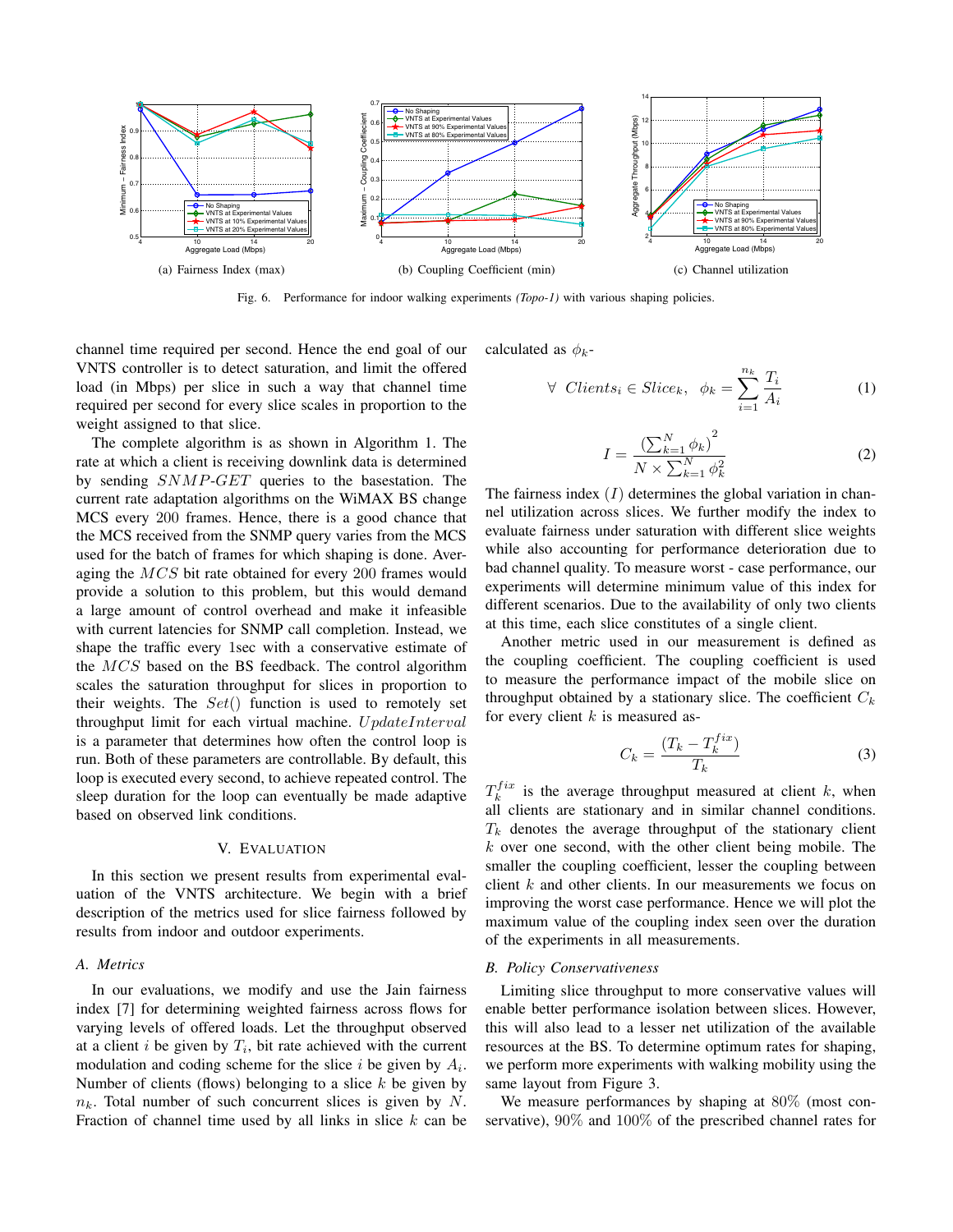

Fig. 6. Performance for indoor walking experiments *(Topo-1)* with various shaping policies.

channel time required per second. Hence the end goal of our VNTS controller is to detect saturation, and limit the offered load (in Mbps) per slice in such a way that channel time required per second for every slice scales in proportion to the weight assigned to that slice.

The complete algorithm is as shown in Algorithm 1. The rate at which a client is receiving downlink data is determined by sending SNMP-GET queries to the basestation. The current rate adaptation algorithms on the WiMAX BS change MCS every 200 frames. Hence, there is a good chance that the MCS received from the SNMP query varies from the MCS used for the batch of frames for which shaping is done. Averaging the MCS bit rate obtained for every 200 frames would provide a solution to this problem, but this would demand a large amount of control overhead and make it infeasible with current latencies for SNMP call completion. Instead, we shape the traffic every 1sec with a conservative estimate of the MCS based on the BS feedback. The control algorithm scales the saturation throughput for slices in proportion to their weights. The  $Set()$  function is used to remotely set throughput limit for each virtual machine.  $UpdateInterval$ is a parameter that determines how often the control loop is run. Both of these parameters are controllable. By default, this loop is executed every second, to achieve repeated control. The sleep duration for the loop can eventually be made adaptive based on observed link conditions.

#### V. EVALUATION

In this section we present results from experimental evaluation of the VNTS architecture. We begin with a brief description of the metrics used for slice fairness followed by results from indoor and outdoor experiments.

# *A. Metrics*

In our evaluations, we modify and use the Jain fairness index [7] for determining weighted fairness across flows for varying levels of offered loads. Let the throughput observed at a client  $i$  be given by  $T_i$ , bit rate achieved with the current modulation and coding scheme for the slice i be given by A*i*. Number of clients (flows) belonging to a slice  $k$  be given by  $n_k$ . Total number of such concurrent slices is given by N. Fraction of channel time used by all links in slice  $k$  can be calculated as  $\phi_k$ -

$$
\forall \ \textit{Clients}_i \in \textit{Slice}_k, \ \phi_k = \sum_{i=1}^{n_k} \frac{T_i}{A_i} \tag{1}
$$

$$
I = \frac{\left(\sum_{k=1}^{N} \phi_k\right)^2}{N \times \sum_{k=1}^{N} \phi_k^2}
$$
 (2)

The fairness index  $(I)$  determines the global variation in channel utilization across slices. We further modify the index to evaluate fairness under saturation with different slice weights while also accounting for performance deterioration due to bad channel quality. To measure worst - case performance, our experiments will determine minimum value of this index for different scenarios. Due to the availability of only two clients at this time, each slice constitutes of a single client.

Another metric used in our measurement is defined as the coupling coefficient. The coupling coefficient is used to measure the performance impact of the mobile slice on throughput obtained by a stationary slice. The coefficient  $C_k$ for every client  $k$  is measured as-

$$
C_k = \frac{(T_k - T_k^{fix})}{T_k} \tag{3}
$$

 $T_k^{fix}$  is the average throughput measured at client k, when all clients are stationary and in similar channel conditions.  $T_k$  denotes the average throughput of the stationary client  $k$  over one second, with the other client being mobile. The smaller the coupling coefficient, lesser the coupling between client k and other clients. In our measurements we focus on improving the worst case performance. Hence we will plot the maximum value of the coupling index seen over the duration of the experiments in all measurements.

#### *B. Policy Conservativeness*

Limiting slice throughput to more conservative values will enable better performance isolation between slices. However, this will also lead to a lesser net utilization of the available resources at the BS. To determine optimum rates for shaping, we perform more experiments with walking mobility using the same layout from Figure 3.

We measure performances by shaping at 80% (most conservative), 90% and 100% of the prescribed channel rates for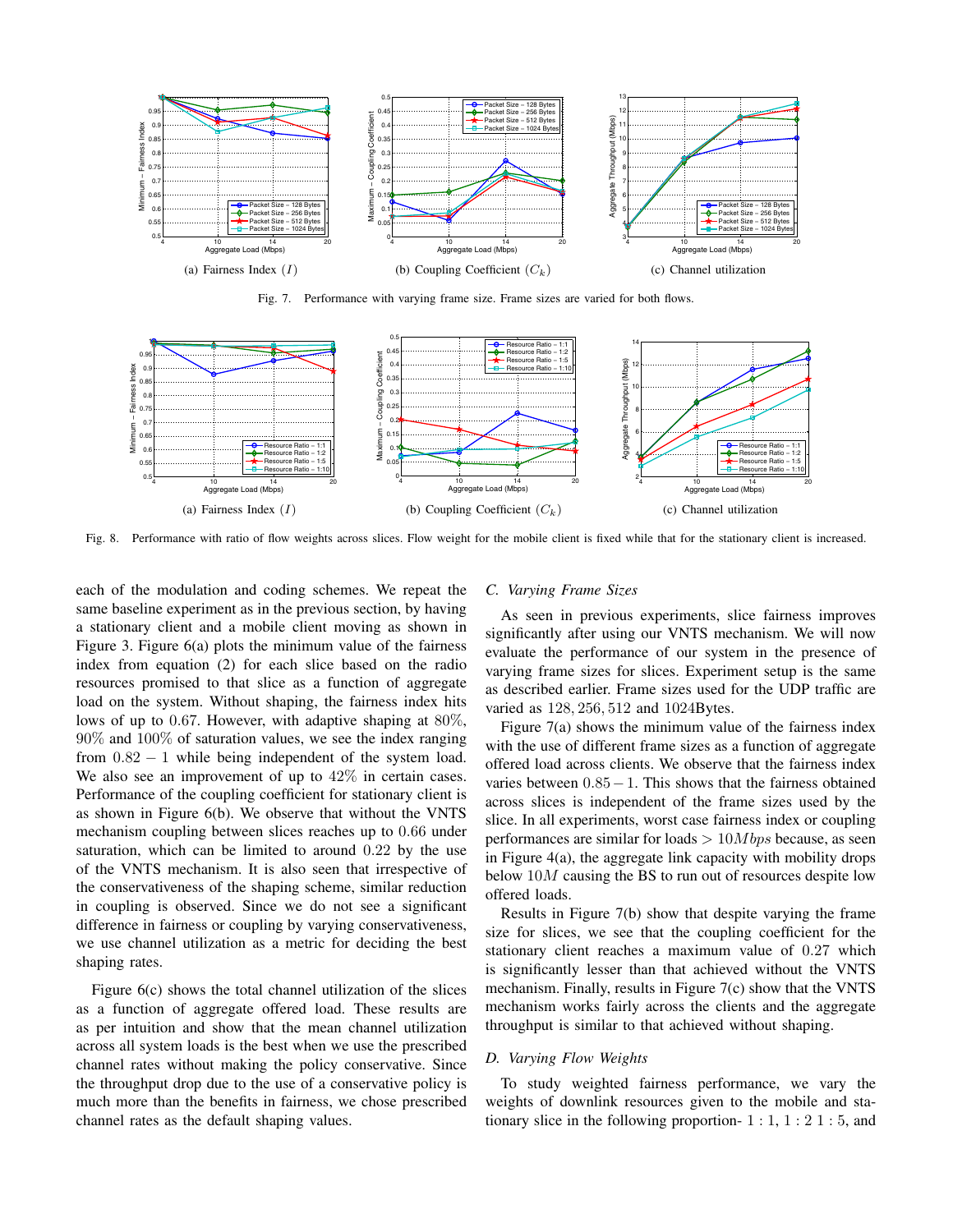

Fig. 7. Performance with varying frame size. Frame sizes are varied for both flows.



Fig. 8. Performance with ratio of flow weights across slices. Flow weight for the mobile client is fixed while that for the stationary client is increased.

each of the modulation and coding schemes. We repeat the same baseline experiment as in the previous section, by having a stationary client and a mobile client moving as shown in Figure 3. Figure 6(a) plots the minimum value of the fairness index from equation (2) for each slice based on the radio resources promised to that slice as a function of aggregate load on the system. Without shaping, the fairness index hits lows of up to 0.67. However, with adaptive shaping at 80%, 90% and 100% of saturation values, we see the index ranging from  $0.82 - 1$  while being independent of the system load. We also see an improvement of up to  $42\%$  in certain cases. Performance of the coupling coefficient for stationary client is as shown in Figure 6(b). We observe that without the VNTS mechanism coupling between slices reaches up to 0.66 under saturation, which can be limited to around 0.22 by the use of the VNTS mechanism. It is also seen that irrespective of the conservativeness of the shaping scheme, similar reduction in coupling is observed. Since we do not see a significant difference in fairness or coupling by varying conservativeness, we use channel utilization as a metric for deciding the best shaping rates.

Figure 6(c) shows the total channel utilization of the slices as a function of aggregate offered load. These results are as per intuition and show that the mean channel utilization across all system loads is the best when we use the prescribed channel rates without making the policy conservative. Since the throughput drop due to the use of a conservative policy is much more than the benefits in fairness, we chose prescribed channel rates as the default shaping values.

#### *C. Varying Frame Sizes*

As seen in previous experiments, slice fairness improves significantly after using our VNTS mechanism. We will now evaluate the performance of our system in the presence of varying frame sizes for slices. Experiment setup is the same as described earlier. Frame sizes used for the UDP traffic are varied as 128, 256, 512 and 1024Bytes.

Figure 7(a) shows the minimum value of the fairness index with the use of different frame sizes as a function of aggregate offered load across clients. We observe that the fairness index varies between  $0.85-1$ . This shows that the fairness obtained across slices is independent of the frame sizes used by the slice. In all experiments, worst case fairness index or coupling performances are similar for loads  $> 10Mbps$  because, as seen in Figure 4(a), the aggregate link capacity with mobility drops below  $10M$  causing the BS to run out of resources despite low offered loads.

Results in Figure 7(b) show that despite varying the frame size for slices, we see that the coupling coefficient for the stationary client reaches a maximum value of 0.27 which is significantly lesser than that achieved without the VNTS mechanism. Finally, results in Figure 7(c) show that the VNTS mechanism works fairly across the clients and the aggregate throughput is similar to that achieved without shaping.

# *D. Varying Flow Weights*

To study weighted fairness performance, we vary the weights of downlink resources given to the mobile and stationary slice in the following proportion-  $1:1, 1:21:5$ , and